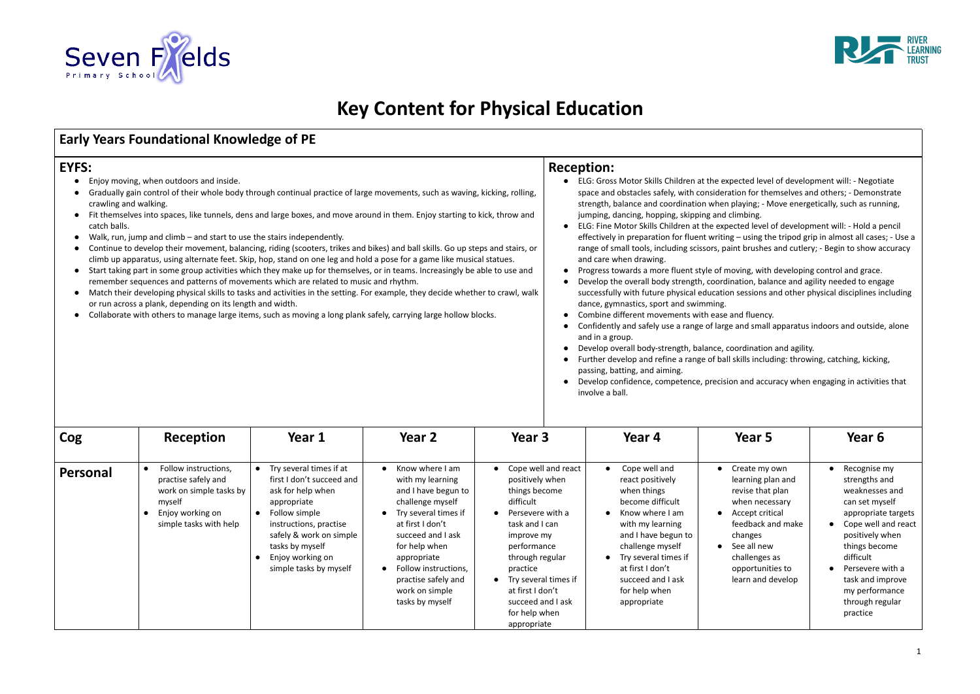

## **Key Content for Physical Education**

## **Early Years Foundational Knowledge of PE**

## **EYFS:**

- Enjoy moving, when outdoors and inside.
- Gradually gain control of their whole body through continual practice of large movements, such as waving, kicking, rolling, crawling and walking.
- Fit themselves into spaces, like tunnels, dens and large boxes, and move around in them. Enjoy starting to kick, throw and catch balls.
- Walk, run, jump and climb and start to use the stairs independently.
- Continue to develop their movement, balancing, riding (scooters, trikes and bikes) and ball skills. Go up steps and stairs, or climb up apparatus, using alternate feet. Skip, hop, stand on one leg and hold a pose for a game like musical statues.
- Start taking part in some group activities which they make up for themselves, or in teams. Increasingly be able to use and remember sequences and patterns of movements which are related to music and rhythm.
- Match their developing physical skills to tasks and activities in the setting. For example, they decide whether to crawl, walk or run across a plank, depending on its length and width.
- Collaborate with others to manage large items, such as moving a long plank safely, carrying large hollow blocks.

## **Reception:**

- ELG: Gross Motor Skills Children at the expected belopment will space and obstacles safely, with consideration strength, balance and coordination when play jumping, dancing, hopping, skipping and clim
- ELG: Fine Motor Skills Children at the expecte effectively in preparation for fluent writing range of small tools, including scissors, paint and care when drawing.
- Progress towards a more fluent style of moving
- Develop the overall body strength, coordination, balance and agency successfully with future physical education se dance, gymnastics, sport and swimming.
- Combine different movements with ease and
- Confidently and safely use a range of large ar and in a group.
- Develop overall body-strength, balance, coor
- Further develop and refine a range of ball ski passing, batting, and aiming.
- Develop confidence, competence, precision involve a ball.

| Cog      | Reception                                                                                                                                   | Year 1                                                                                                                                                                                                                          | Year 2                                                                                                                                                                                                                                                              | Year 3                                                                                                                                                                                                                                                                  | Year 4                                                                                                                                                                                                                                                  | Year 5                                                                                                                                                                                               | Year 6                                                                                                                                                                                                     |
|----------|---------------------------------------------------------------------------------------------------------------------------------------------|---------------------------------------------------------------------------------------------------------------------------------------------------------------------------------------------------------------------------------|---------------------------------------------------------------------------------------------------------------------------------------------------------------------------------------------------------------------------------------------------------------------|-------------------------------------------------------------------------------------------------------------------------------------------------------------------------------------------------------------------------------------------------------------------------|---------------------------------------------------------------------------------------------------------------------------------------------------------------------------------------------------------------------------------------------------------|------------------------------------------------------------------------------------------------------------------------------------------------------------------------------------------------------|------------------------------------------------------------------------------------------------------------------------------------------------------------------------------------------------------------|
| Personal | Follow instructions,<br>$\bullet$<br>practise safely and<br>work on simple tasks by<br>myself<br>Enjoy working on<br>simple tasks with help | Try several times if at<br>first I don't succeed and<br>ask for help when<br>appropriate<br>Follow simple<br>instructions, practise<br>safely & work on simple<br>tasks by myself<br>Enjoy working on<br>simple tasks by myself | Know where I am<br>with my learning<br>and I have begun to<br>challenge myself<br>Try several times if<br>at first I don't<br>succeed and I ask<br>for help when<br>appropriate<br>Follow instructions,<br>practise safely and<br>work on simple<br>tasks by myself | Cope well and react<br>positively when<br>things become<br>difficult<br>Persevere with a<br>task and I can<br>improve my<br>performance<br>through regular<br>practice<br>Try several times if<br>at first I don't<br>succeed and I ask<br>for help when<br>appropriate | Cope well and<br>react positively<br>when things<br>become difficult<br>Know where I am<br>with my learning<br>and I have begun to<br>challenge myself<br>Try several times if<br>at first I don't<br>succeed and I ask<br>for help when<br>appropriate | Create my own<br>learning plan and<br>revise that plan<br>when necessary<br>Accept critical<br>feedback and make<br>changes<br>See all new<br>challenges as<br>opportunities to<br>learn and develop | Recognise r<br>strengths are<br>weaknesses<br>can set mys<br>appropriate<br>Cope well a<br>positively w<br>things beco<br>difficult<br>Persevere w<br>task and im<br>my perform<br>through reg<br>practice |



| expected level of development will: - Negotiate<br>deration for themselves and others; - Demonstrate<br>nen playing; - Move energetically, such as running,<br>nd climbing.<br>expected level of development will: - Hold a pencil<br>iting – using the tripod grip in almost all cases; - Use a<br>, paint brushes and cutlery; - Begin to show accuracy                                     |                                                                                                                                                                                                                                                           |  |  |  |  |  |  |
|-----------------------------------------------------------------------------------------------------------------------------------------------------------------------------------------------------------------------------------------------------------------------------------------------------------------------------------------------------------------------------------------------|-----------------------------------------------------------------------------------------------------------------------------------------------------------------------------------------------------------------------------------------------------------|--|--|--|--|--|--|
| of moving, with developing control and grace.<br>ordination, balance and agility needed to engage<br>ation sessions and other physical disciplines including<br>ገg.<br>ase and fluency.<br>arge and small apparatus indoors and outside, alone<br>e, coordination and agility.<br>ball skills including: throwing, catching, kicking,<br>cision and accuracy when engaging in activities that |                                                                                                                                                                                                                                                           |  |  |  |  |  |  |
| Year 5                                                                                                                                                                                                                                                                                                                                                                                        | Year 6                                                                                                                                                                                                                                                    |  |  |  |  |  |  |
| Create my own<br>learning plan and<br>revise that plan<br>when necessary<br>Accept critical<br>feedback and make<br>changes<br>See all new<br>challenges as<br>opportunities to<br>learn and develop                                                                                                                                                                                          | Recognise my<br>strengths and<br>weaknesses and<br>can set myself<br>appropriate targets<br>Cope well and react<br>positively when<br>things become<br>difficult<br>Persevere with a<br>task and improve<br>my performance<br>through regular<br>practice |  |  |  |  |  |  |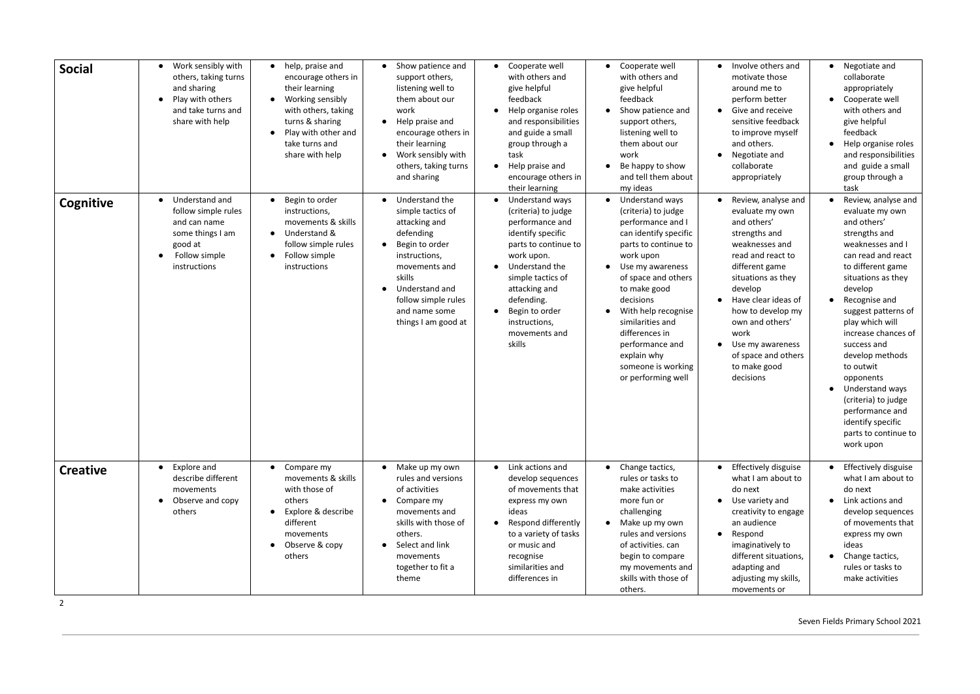| <b>Social</b><br>Cognitive | Work sensibly with<br>$\bullet$<br>others, taking turns<br>and sharing<br>Play with others<br>$\bullet$<br>and take turns and<br>share with help<br>Understand and<br>follow simple rules<br>and can name<br>some things I am | • help, praise and<br>encourage others in<br>their learning<br>Working sensibly<br>with others, taking<br>turns & sharing<br>Play with other and<br>take turns and<br>share with help<br>Begin to order<br>instructions,<br>movements & skills<br>Understand & | Show patience and<br>$\bullet$<br>support others,<br>listening well to<br>them about our<br>work<br>Help praise and<br>$\bullet$<br>encourage others in<br>their learning<br>Work sensibly with<br>$\bullet$<br>others, taking turns<br>and sharing<br>Understand the<br>$\bullet$<br>simple tactics of<br>attacking and<br>defending | • Cooperate well<br>with others and<br>give helpful<br>feedback<br>• Help organise roles<br>and responsibilities<br>and guide a small<br>group through a<br>task<br>• Help praise and<br>encourage others in<br>their learning<br>• Understand ways<br>(criteria) to judge<br>performance and<br>identify specific | Cooperate well<br>with others and<br>give helpful<br>feedback<br>Show patience and<br>support others,<br>listening well to<br>them about our<br>work<br>Be happy to show<br>and tell them about<br>my ideas<br>Understand ways<br>(criteria) to judge<br>performance and I<br>can identify specific | Involve others and<br>$\bullet$<br>motivate those<br>around me to<br>perform better<br>Give and receive<br>$\bullet$<br>sensitive feedback<br>to improve myself<br>and others.<br>Negotiate and<br>$\bullet$<br>collaborate<br>appropriately<br>Review, analyse and<br>evaluate my own<br>and others'<br>strengths and | • Negotiate and<br>collaborate<br>appropriately<br>• Cooperate well<br>with others and<br>give helpful<br>feedback<br>Help organise roles<br>and responsibilities<br>and guide a small<br>group through a<br>task<br>Review, analyse and<br>evaluate my own<br>and others'<br>strengths and                                                                       |
|----------------------------|-------------------------------------------------------------------------------------------------------------------------------------------------------------------------------------------------------------------------------|----------------------------------------------------------------------------------------------------------------------------------------------------------------------------------------------------------------------------------------------------------------|---------------------------------------------------------------------------------------------------------------------------------------------------------------------------------------------------------------------------------------------------------------------------------------------------------------------------------------|--------------------------------------------------------------------------------------------------------------------------------------------------------------------------------------------------------------------------------------------------------------------------------------------------------------------|-----------------------------------------------------------------------------------------------------------------------------------------------------------------------------------------------------------------------------------------------------------------------------------------------------|------------------------------------------------------------------------------------------------------------------------------------------------------------------------------------------------------------------------------------------------------------------------------------------------------------------------|-------------------------------------------------------------------------------------------------------------------------------------------------------------------------------------------------------------------------------------------------------------------------------------------------------------------------------------------------------------------|
|                            | good at<br>Follow simple<br>instructions                                                                                                                                                                                      | follow simple rules<br>Follow simple<br>instructions                                                                                                                                                                                                           | Begin to order<br>$\bullet$<br>instructions,<br>movements and<br>skills<br>Understand and<br>$\bullet$<br>follow simple rules<br>and name some<br>things I am good at                                                                                                                                                                 | parts to continue to<br>work upon.<br>• Understand the<br>simple tactics of<br>attacking and<br>defending.<br>• Begin to order<br>instructions,<br>movements and<br>skills                                                                                                                                         | parts to continue to<br>work upon<br>Use my awareness<br>of space and others<br>to make good<br>decisions<br>With help recognise<br>similarities and<br>differences in<br>performance and<br>explain why<br>someone is working<br>or performing well                                                | weaknesses and<br>read and react to<br>different game<br>situations as they<br>develop<br>Have clear ideas of<br>how to develop my<br>own and others'<br>work<br>Use my awareness<br>$\bullet$<br>of space and others<br>to make good<br>decisions                                                                     | weaknesses and I<br>can read and react<br>to different game<br>situations as they<br>develop<br>Recognise and<br>suggest patterns of<br>play which will<br>increase chances of<br>success and<br>develop methods<br>to outwit<br>opponents<br>Understand ways<br>(criteria) to judge<br>performance and<br>identify specific<br>parts to continue to<br>work upon |
| <b>Creative</b>            | Explore and<br>$\bullet$<br>describe different<br>movements<br>Observe and copy<br>$\bullet$<br>others                                                                                                                        | $\bullet$ Compare my<br>movements & skills<br>with those of<br>others<br>Explore & describe<br>different<br>movements<br>Observe & copy<br>others                                                                                                              | • Make up my own<br>rules and versions<br>of activities<br>Compare my<br>$\bullet$<br>movements and<br>skills with those of<br>others.<br>Select and link<br>$\bullet$<br>movements<br>together to fit a<br>theme                                                                                                                     | • Link actions and<br>develop sequences<br>of movements that<br>express my own<br>ideas<br>• Respond differently<br>to a variety of tasks<br>or music and<br>recognise<br>similarities and<br>differences in                                                                                                       | Change tactics,<br>rules or tasks to<br>make activities<br>more fun or<br>challenging<br>Make up my own<br>rules and versions<br>of activities. can<br>begin to compare<br>my movements and<br>skills with those of<br>others.                                                                      | Effectively disguise<br>$\bullet$<br>what I am about to<br>do next<br>Use variety and<br>$\bullet$<br>creativity to engage<br>an audience<br>Respond<br>$\bullet$<br>imaginatively to<br>different situations,<br>adapting and<br>adjusting my skills,<br>movements or                                                 | Effectively disguise<br>what I am about to<br>do next<br>Link actions and<br>develop sequences<br>of movements that<br>express my own<br>ideas<br>Change tactics,<br>rules or tasks to<br>make activities                                                                                                                                                         |

2

Seven Fields Primary School 2021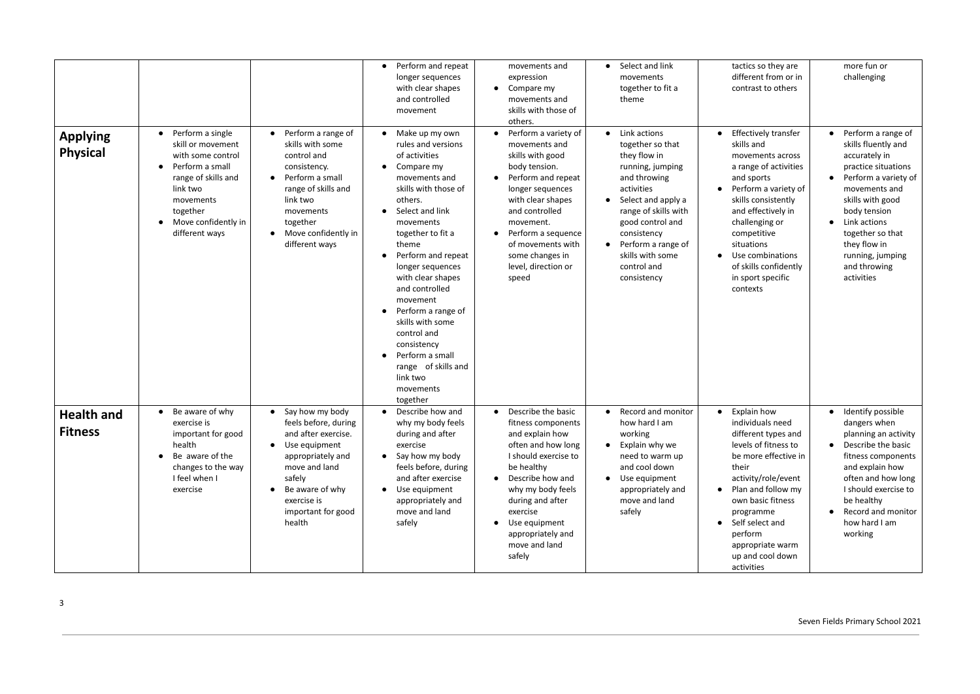| <b>Applying</b><br><b>Physical</b>  | Perform a single<br>$\bullet$<br>skill or movement<br>with some control<br>Perform a small<br>range of skills and<br>link two<br>movements<br>together<br>Move confidently in<br>different ways | Perform a range of<br>skills with some<br>control and<br>consistency.<br>Perform a small<br>range of skills and<br>link two<br>movements<br>together<br>Move confidently in<br>different ways     | Perform and repeat<br>$\bullet$<br>longer sequences<br>with clear shapes<br>and controlled<br>movement<br>Make up my own<br>rules and versions<br>of activities<br>Compare my<br>$\bullet$<br>movements and<br>skills with those of<br>others.<br>Select and link<br>movements<br>together to fit a<br>theme<br>Perform and repeat<br>longer sequences<br>with clear shapes<br>and controlled<br>movement<br>Perform a range of<br>$\bullet$<br>skills with some<br>control and<br>consistency<br>Perform a small<br>$\bullet$<br>range of skills and<br>link two | movements and<br>expression<br>$\bullet$ Compare my<br>movements and<br>skills with those of<br>others.<br>Perform a variety of<br>movements and<br>skills with good<br>body tension.<br>Perform and repeat<br>longer sequences<br>with clear shapes<br>and controlled<br>movement.<br>• Perform a sequence<br>of movements with<br>some changes in<br>level, direction or<br>speed | Select and link<br>movements<br>together to fit a<br>theme<br>Link actions<br>together so that<br>they flow in<br>running, jumping<br>and throwing<br>activities<br>Select and apply a<br>range of skills with<br>good control and<br>consistency<br>Perform a range of<br>skills with some<br>control and<br>consistency | tactics so they are<br>different from or in<br>contrast to others<br>Effectively transfer<br>$\bullet$<br>skills and<br>movements across<br>a range of activities<br>and sports<br>Perform a variety of<br>skills consistently<br>and effectively in<br>challenging or<br>competitive<br>situations<br>Use combinations<br>of skills confidently<br>in sport specific<br>contexts | more fun or<br>challenging<br>Perform a range of<br>skills fluently and<br>accurately in<br>practice situations<br>Perform a variety of<br>movements and<br>skills with good<br>body tension<br>Link actions<br>together so that<br>they flow in<br>running, jumping<br>and throwing<br>activities |
|-------------------------------------|-------------------------------------------------------------------------------------------------------------------------------------------------------------------------------------------------|---------------------------------------------------------------------------------------------------------------------------------------------------------------------------------------------------|-------------------------------------------------------------------------------------------------------------------------------------------------------------------------------------------------------------------------------------------------------------------------------------------------------------------------------------------------------------------------------------------------------------------------------------------------------------------------------------------------------------------------------------------------------------------|-------------------------------------------------------------------------------------------------------------------------------------------------------------------------------------------------------------------------------------------------------------------------------------------------------------------------------------------------------------------------------------|---------------------------------------------------------------------------------------------------------------------------------------------------------------------------------------------------------------------------------------------------------------------------------------------------------------------------|-----------------------------------------------------------------------------------------------------------------------------------------------------------------------------------------------------------------------------------------------------------------------------------------------------------------------------------------------------------------------------------|----------------------------------------------------------------------------------------------------------------------------------------------------------------------------------------------------------------------------------------------------------------------------------------------------|
| <b>Health and</b><br><b>Fitness</b> | Be aware of why<br>$\bullet$<br>exercise is<br>important for good<br>health<br>Be aware of the<br>changes to the way<br>I feel when I<br>exercise                                               | Say how my body<br>feels before, during<br>and after exercise.<br>Use equipment<br>appropriately and<br>move and land<br>safely<br>Be aware of why<br>exercise is<br>important for good<br>health | movements<br>together<br>Describe how and<br>$\bullet$<br>why my body feels<br>during and after<br>exercise<br>Say how my body<br>$\bullet$<br>feels before, during<br>and after exercise<br>Use equipment<br>$\bullet$<br>appropriately and<br>move and land<br>safely                                                                                                                                                                                                                                                                                           | Describe the basic<br>$\bullet$<br>fitness components<br>and explain how<br>often and how long<br>I should exercise to<br>be healthy<br>• Describe how and<br>why my body feels<br>during and after<br>exercise<br>Use equipment<br>appropriately and<br>move and land<br>safely                                                                                                    | Record and monitor<br>how hard I am<br>working<br>Explain why we<br>need to warm up<br>and cool down<br>Use equipment<br>appropriately and<br>move and land<br>safely                                                                                                                                                     | Explain how<br>$\bullet$<br>individuals need<br>different types and<br>levels of fitness to<br>be more effective in<br>their<br>activity/role/event<br>Plan and follow my<br>$\bullet$<br>own basic fitness<br>programme<br>Self select and<br>perform<br>appropriate warm<br>up and cool down<br>activities                                                                      | Identify possible<br>dangers when<br>planning an activity<br>• Describe the basic<br>fitness components<br>and explain how<br>often and how long<br>I should exercise to<br>be healthy<br>Record and monitor<br>how hard I am<br>working                                                           |